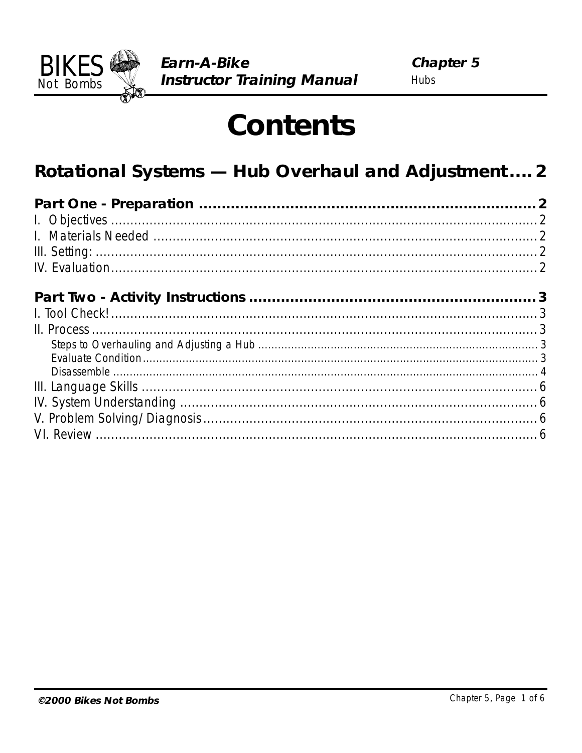

# **Contents**

# Rotational Systems - Hub Overhaul and Adjustment .... 2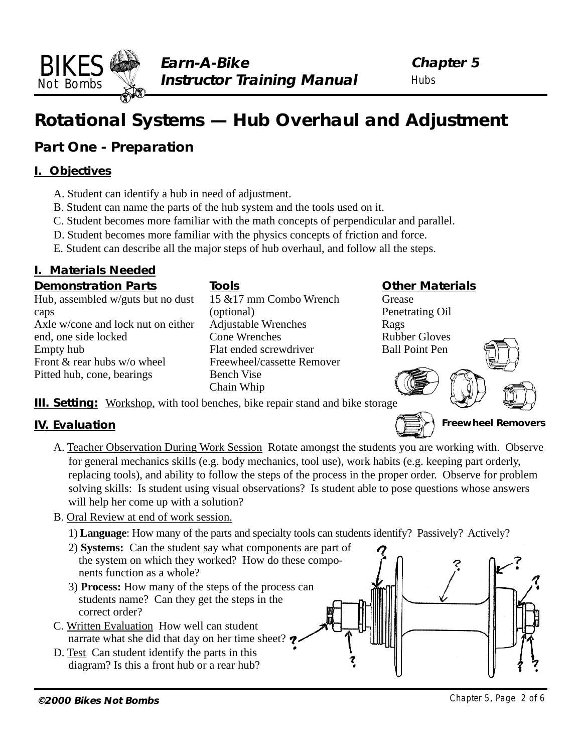# **Rotational Systems — Hub Overhaul and Adjustment**

# **Part One - Preparation**

### **I. Objectives**

<span id="page-1-0"></span>BIKES Not Bombs

- A. Student can identify a hub in need of adjustment.
- B. Student can name the parts of the hub system and the tools used on it.
- C. Student becomes more familiar with the math concepts of perpendicular and parallel.
- D. Student becomes more familiar with the physics concepts of friction and force.
- E. Student can describe all the major steps of hub overhaul, and follow all the steps.

# **I. Materials Needed**

#### **Demonstration Parts**

Hub, assembled w/guts but no dust caps Axle w/cone and lock nut on either end, one side locked Empty hub Front & rear hubs w/o wheel Pitted hub, cone, bearings

**Tools** 15 &17 mm Combo Wrench (optional) Adjustable Wrenches Cone Wrenches Flat ended screwdriver Freewheel/cassette Remover Bench Vise Chain Whip

#### **Other Materials**

Grease Penetrating Oil Rags Rubber Gloves Ball Point Pen



**III. Setting:** Workshop, with tool benches, bike repair stand and bike storage

# **IV. Evaluation**

- A. Teacher Observation During Work Session Rotate amongst the students you are working with. Observe for general mechanics skills (e.g. body mechanics, tool use), work habits (e.g. keeping part orderly, replacing tools), and ability to follow the steps of the process in the proper order. Observe for problem solving skills: Is student using visual observations? Is student able to pose questions whose answers will help her come up with a solution?
- B. Oral Review at end of work session.
	- 1) **Language**: How many of the parts and specialty tools can students identify? Passively? Actively?
	- 2) **Systems:** Can the student say what components are part of the system on which they worked? How do these components function as a whole?
	- 3) **Process:** How many of the steps of the process can students name? Can they get the steps in the correct order?
- C. Written Evaluation How well can student narrate what she did that day on her time sheet?
- D. Test Can student identify the parts in this diagram? Is this a front hub or a rear hub?

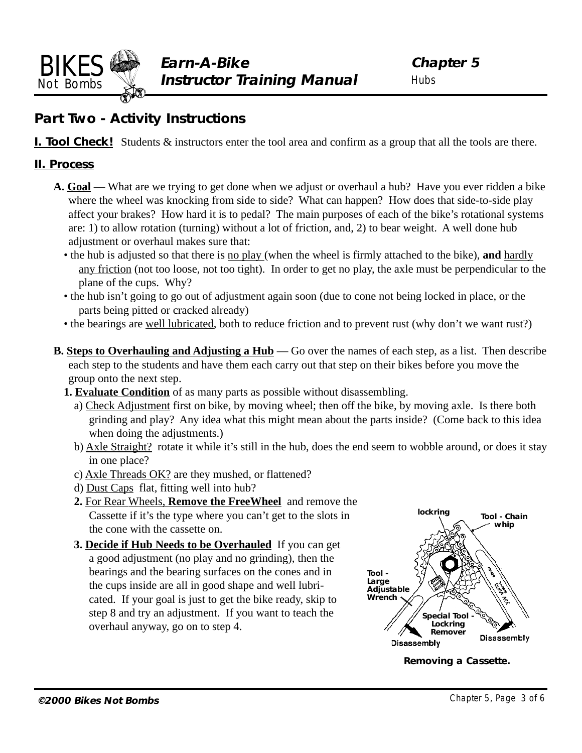<span id="page-2-0"></span>

# **Part Two - Activity Instructions**

**I. Tool Check!** Students  $\&$  instructors enter the tool area and confirm as a group that all the tools are there.

#### **II. Process**

- **A. Goal**  What are we trying to get done when we adjust or overhaul a hub? Have you ever ridden a bike where the wheel was knocking from side to side? What can happen? How does that side-to-side play affect your brakes? How hard it is to pedal? The main purposes of each of the bike's rotational systems are: 1) to allow rotation (turning) without a lot of friction, and, 2) to bear weight. A well done hub adjustment or overhaul makes sure that:
	- the hub is adjusted so that there is no play (when the wheel is firmly attached to the bike), **and** hardly any friction (not too loose, not too tight). In order to get no play, the axle must be perpendicular to the plane of the cups. Why?
	- the hub isn't going to go out of adjustment again soon (due to cone not being locked in place, or the parts being pitted or cracked already)
	- the bearings are well lubricated, both to reduce friction and to prevent rust (why don't we want rust?)
- **B. Steps to Overhauling and Adjusting a Hub** Go over the names of each step, as a list. Then describe each step to the students and have them each carry out that step on their bikes before you move the group onto the next step.
	- **1. Evaluate Condition** of as many parts as possible without disassembling.
		- a) Check Adjustment first on bike, by moving wheel; then off the bike, by moving axle. Is there both grinding and play? Any idea what this might mean about the parts inside? (Come back to this idea when doing the adjustments.)
		- b) Axle Straight? rotate it while it's still in the hub, does the end seem to wobble around, or does it stay in one place?
		- c) Axle Threads OK? are they mushed, or flattened?
		- d) Dust Caps flat, fitting well into hub?
		- **2.** For Rear Wheels, **Remove the FreeWheel** and remove the Cassette if it's the type where you can't get to the slots in the cone with the cassette on.
		- **3. Decide if Hub Needs to be Overhauled** If you can get a good adjustment (no play and no grinding), then the bearings and the bearing surfaces on the cones and in the cups inside are all in good shape and well lubricated. If your goal is just to get the bike ready, skip to step 8 and try an adjustment. If you want to teach the overhaul anyway, go on to step 4.



**Removing a Cassette.**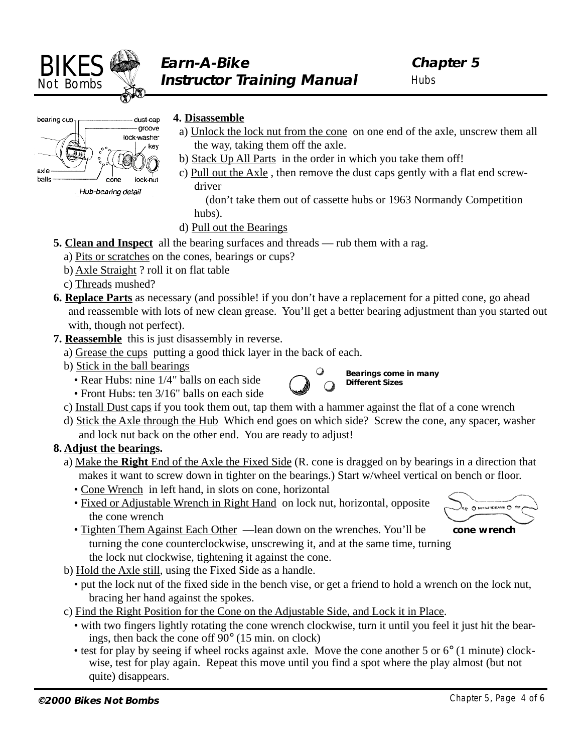<span id="page-3-0"></span>

**Hubs** 



Hub-bearing detail

#### **4. Disassemble**

- a) Unlock the lock nut from the cone on one end of the axle, unscrew them all the way, taking them off the axle.
- b) Stack Up All Parts in the order in which you take them off!
- c) Pull out the Axle , then remove the dust caps gently with a flat end screwdriver

 (don't take them out of cassette hubs or 1963 Normandy Competition hubs).

- d) Pull out the Bearings
- **5. Clean and Inspect** all the bearing surfaces and threads rub them with a rag.
	- a) Pits or scratches on the cones, bearings or cups?
	- b) Axle Straight ? roll it on flat table
	- c) Threads mushed?
- **6. Replace Parts** as necessary (and possible! if you don't have a replacement for a pitted cone, go ahead and reassemble with lots of new clean grease. You'll get a better bearing adjustment than you started out with, though not perfect).
- **7. Reassemble** this is just disassembly in reverse.
	- a) Grease the cups putting a good thick layer in the back of each.
	- b) Stick in the ball bearings
		- Rear Hubs: nine 1/4" balls on each side



**Bearings come in many Different Sizes**

- Front Hubs: ten 3/16" balls on each side
- c) Install Dust caps if you took them out, tap them with a hammer against the flat of a cone wrench
- d) Stick the Axle through the Hub Which end goes on which side? Screw the cone, any spacer, washer and lock nut back on the other end. You are ready to adjust!

#### **8. Adjust the bearings.**

- a) Make the **Right** End of the Axle the Fixed Side (R. cone is dragged on by bearings in a direction that makes it want to screw down in tighter on the bearings.) Start w/wheel vertical on bench or floor.
	- Cone Wrench in left hand, in slots on cone, horizontal
	- Fixed or Adjustable Wrench in Right Hand on lock nut, horizontal, opposite the cone wrench



- Tighten Them Against Each Other —lean down on the wrenches. You'll be **cone wrench** turning the cone counterclockwise, unscrewing it, and at the same time, turning the lock nut clockwise, tightening it against the cone.
- b) Hold the Axle still, using the Fixed Side as a handle.
	- put the lock nut of the fixed side in the bench vise, or get a friend to hold a wrench on the lock nut, bracing her hand against the spokes.
- c) Find the Right Position for the Cone on the Adjustable Side, and Lock it in Place.
	- with two fingers lightly rotating the cone wrench clockwise, turn it until you feel it just hit the bearings, then back the cone off 90° (15 min. on clock)
	- test for play by seeing if wheel rocks against axle. Move the cone another 5 or 6° (1 minute) clockwise, test for play again. Repeat this move until you find a spot where the play almost (but not quite) disappears.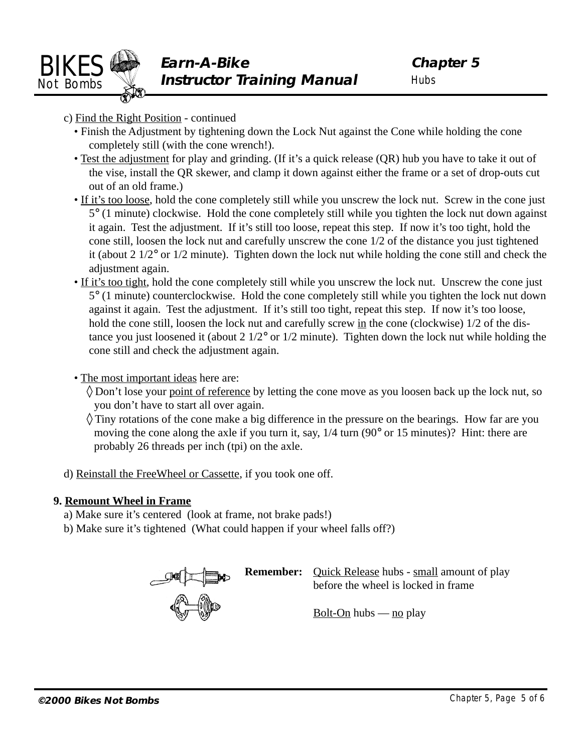

- c) Find the Right Position continued
	- Finish the Adjustment by tightening down the Lock Nut against the Cone while holding the cone completely still (with the cone wrench!).
	- Test the adjustment for play and grinding. (If it's a quick release (QR) hub you have to take it out of the vise, install the QR skewer, and clamp it down against either the frame or a set of drop-outs cut out of an old frame.)
	- If it's too loose, hold the cone completely still while you unscrew the lock nut. Screw in the cone just 5° (1 minute) clockwise. Hold the cone completely still while you tighten the lock nut down against it again. Test the adjustment. If it's still too loose, repeat this step. If now it's too tight, hold the cone still, loosen the lock nut and carefully unscrew the cone 1/2 of the distance you just tightened it (about 2 1/2° or 1/2 minute). Tighten down the lock nut while holding the cone still and check the adjustment again.
	- If it's too tight, hold the cone completely still while you unscrew the lock nut. Unscrew the cone just 5° (1 minute) counterclockwise. Hold the cone completely still while you tighten the lock nut down against it again. Test the adjustment. If it's still too tight, repeat this step. If now it's too loose, hold the cone still, loosen the lock nut and carefully screw in the cone (clockwise)  $1/2$  of the distance you just loosened it (about 2 1/2° or 1/2 minute). Tighten down the lock nut while holding the cone still and check the adjustment again.
	- The most important ideas here are:
		- ◊ Don't lose your point of reference by letting the cone move as you loosen back up the lock nut, so you don't have to start all over again.
		- ◊ Tiny rotations of the cone make a big difference in the pressure on the bearings. How far are you moving the cone along the axle if you turn it, say, 1/4 turn (90° or 15 minutes)? Hint: there are probably 26 threads per inch (tpi) on the axle.
- d) Reinstall the FreeWheel or Cassette, if you took one off.

#### **9. Remount Wheel in Frame**

- a) Make sure it's centered (look at frame, not brake pads!)
- b) Make sure it's tightened (What could happen if your wheel falls off?)